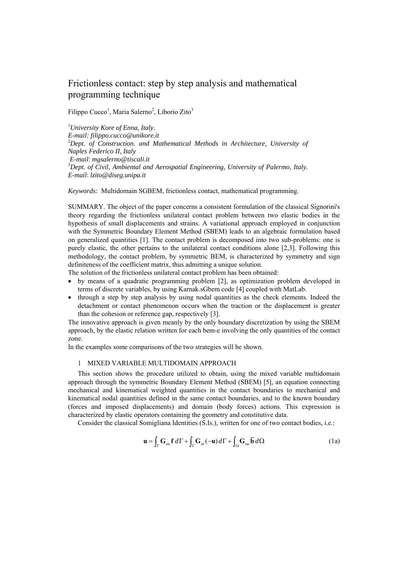# Frictionless contact: step by step analysis and mathematical programming technique

Filippo Cucco<sup>1</sup>, Maria Salerno<sup>2</sup>, Liborio Zito<sup>3</sup>

1 *University Kore of Enna, Italy. E-mail: filippo.cucco@unikore.it*  2 *Dept. of Construction. and Mathematical Methods in Architecture, University of Naples Federico II, Italy E-mail*: *mgsalerno@tiscali.it* <sup>3</sup> <sup>3</sup>Dept. of Civil, Ambiental and Aerospatial Engineering, University of Palermo, Italy. *E-mail*: *lzito@diseg.unipa.it* 

*Keywords:* Multidomain SGBEM, frictionless contact, mathematical programming.

SUMMARY. The object of the paper concerns a consistent formulation of the classical Signorini's theory regarding the frictionless unilateral contact problem between two elastic bodies in the hypothesis of small displacements and strains. A variational approach employed in conjunction with the Symmetric Boundary Element Method (SBEM) leads to an algebraic formulation based on generalized quantities [1]. The contact problem is decomposed into two sub-problems: one is purely elastic, the other pertains to the unilateral contact conditions alone [2,3]. Following this methodology, the contact problem, by symmetric BEM, is characterized by symmetry and sign definiteness of the coefficient matrix, thus admitting a unique solution.

The solution of the frictionless unilateral contact problem has been obtained:

- by means of a quadratic programming problem [2], as optimization problem developed in terms of discrete variables, by using Karnak.sGbem code [4] coupled with MatLab.
- through a step by step analysis by using nodal quantities as the check elements. Indeed the detachment or contact phenomenon occurs when the traction or the displacement is greater than the cohesion or reference gap, respectively [3].

The innovative approach is given meanly by the only boundary discretization by using the SBEM approach, by the elastic relation written for each bem-e involving the only quantities of the contact zone.

In the examples some comparisons of the two strategies will be shown.

### 1 MIXED VARIABLE MULTIDOMAIN APPROACH

This section shows the procedure utilized to obtain, using the mixed variable multidomain approach through the symmetric Boundary Element Method (SBEM) [5], an equation connecting mechanical and kinematical weighted quantities in the contact boundaries to mechanical and kinematical nodal quantities defined in the same contact boundaries, and to the known boundary (forces and imposed displacements) and domain (body forces) actions. This expression is characterized by elastic operators containing the geometry and constitutive data.

Consider the classical Somigliana Identities (S.Is.), written for one of two contact bodies, i.e.:

$$
\mathbf{u} = \int_{\Gamma} \mathbf{G}_{uu} \mathbf{f} \, d\Gamma + \int_{\Gamma} \mathbf{G}_{ut} (-\mathbf{u}) \, d\Gamma + \int_{\Omega} \mathbf{G}_{uu} \overline{\mathbf{b}} \, d\Omega \tag{1a}
$$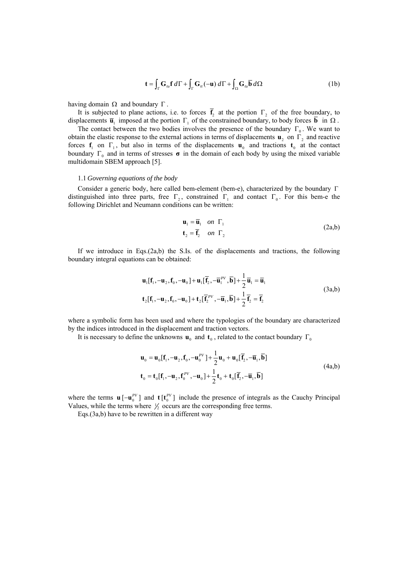$$
\mathbf{t} = \int_{\Gamma} \mathbf{G}_{u} \mathbf{f} \, d\Gamma + \int_{\Gamma} \mathbf{G}_{u} (-\mathbf{u}) \, d\Gamma + \int_{\Omega} \mathbf{G}_{u} \overline{\mathbf{b}} \, d\Omega \tag{1b}
$$

having domain  $Ω$  and boundary  $Γ$ .

It is subjected to plane actions, i.e. to forces  $\overline{f}_2$  at the portion  $\Gamma_2$  of the free boundary, to displacements  $\overline{\mathbf{u}}_1$  imposed at the portion  $\Gamma_1$  of the constrained boundary, to body forces  $\overline{\mathbf{b}}$  in  $\Omega$ .

The contact between the two bodies involves the presence of the boundary  $\Gamma_0$ . We want to obtain the elastic response to the external actions in terms of displacements  $\mathbf{u}_2$  on  $\Gamma_2$  and reactive forces  $f_1$  on  $\Gamma_1$ , but also in terms of the displacements  $f_0$  and tractions  $f_0$  at the contact boundary  $\Gamma_0$  and in terms of stresses  $\sigma$  in the domain of each body by using the mixed variable multidomain SBEM approach [5].

#### 1.1 *Governing equations of the body*

Consider a generic body, here called bem-element (bem-e), characterized by the boundary Γ distinguished into three parts, free  $\Gamma_2$ , constrained  $\Gamma_1$  and contact  $\Gamma_0$ . For this bem-e the following Dirichlet and Neumann conditions can be written:

$$
\mathbf{u}_1 = \overline{\mathbf{u}}_1 \quad on \quad \Gamma_1
$$
  
\n
$$
\mathbf{t}_2 = \overline{\mathbf{t}}_2 \quad on \quad \Gamma_2
$$
 (2a,b)

If we introduce in Eqs.(2a,b) the S.Is. of the displacements and tractions, the following boundary integral equations can be obtained:

$$
\mathbf{u}_{1}[\mathbf{f}_{1}, -\mathbf{u}_{2}, \mathbf{f}_{0}, -\mathbf{u}_{0}] + \mathbf{u}_{1}[\overline{\mathbf{f}}_{2}, -\overline{\mathbf{u}}_{1}^{PV}, \overline{\mathbf{b}}] + \frac{1}{2}\overline{\mathbf{u}}_{1} = \overline{\mathbf{u}}_{1}
$$
\n
$$
\mathbf{t}_{2}[\mathbf{f}_{1}, -\mathbf{u}_{2}, \mathbf{f}_{0}, -\mathbf{u}_{0}] + \mathbf{t}_{2}[\overline{\mathbf{f}}_{2}^{PV}, -\overline{\mathbf{u}}_{1}, \overline{\mathbf{b}}] + \frac{1}{2}\overline{\mathbf{f}}_{2} = \overline{\mathbf{f}}_{2}
$$
\n(3a,b)

where a symbolic form has been used and where the typologies of the boundary are characterized by the indices introduced in the displacement and traction vectors.

It is necessary to define the unknowns  $\mathbf{u}_0$  and  $\mathbf{t}_0$ , related to the contact boundary  $\Gamma_0$ 

$$
\mathbf{u}_0 = \mathbf{u}_0[\mathbf{f}_1, -\mathbf{u}_2, \mathbf{f}_0, -\mathbf{u}_0^{PV}] + \frac{1}{2}\mathbf{u}_0 + \mathbf{u}_0[\overline{\mathbf{f}}_2, -\overline{\mathbf{u}}_1, \overline{\mathbf{b}}]
$$
  
\n
$$
\mathbf{t}_0 = \mathbf{t}_0[\mathbf{f}_1, -\mathbf{u}_2, \mathbf{f}_0^{PV}, -\mathbf{u}_0] + \frac{1}{2}\mathbf{t}_0 + \mathbf{t}_0[\overline{\mathbf{f}}_2, -\overline{\mathbf{u}}_1, \overline{\mathbf{b}}]
$$
(4a,b)

where the terms  $\mathbf{u}$   $[-\mathbf{u}_0^{PV}]$  and  $\mathbf{t}$   $[\mathbf{t}_0^{PV}]$  include the presence of integrals as the Cauchy Principal Values, while the terms where  $\frac{1}{2}$  occurs are the corresponding free terms.

Eqs.(3a,b) have to be rewritten in a different way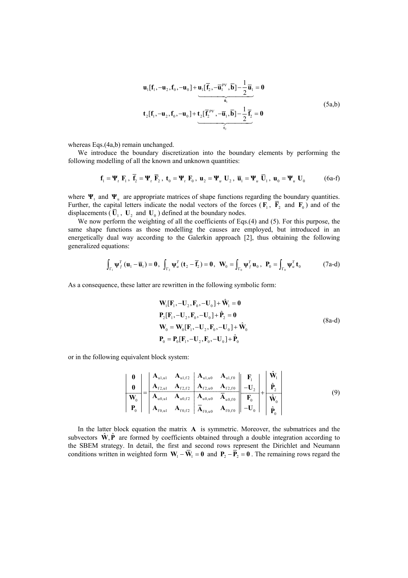$$
\mathbf{u}_{1}[\mathbf{f}_{1}, -\mathbf{u}_{2}, \mathbf{f}_{0}, -\mathbf{u}_{0}] + \underbrace{\mathbf{u}_{1}[\overline{\mathbf{f}}_{2}, -\overline{\mathbf{u}}_{1}^{PV}, \overline{\mathbf{b}}] - \frac{1}{2}\overline{\mathbf{u}}_{1}}_{\hat{\mathbf{u}}_{1}} = \mathbf{0}
$$
\n
$$
\mathbf{t}_{2}[\mathbf{f}_{1}, -\mathbf{u}_{2}, \mathbf{f}_{0}, -\mathbf{u}_{0}] + \underbrace{\mathbf{t}_{2}[\overline{\mathbf{f}}_{2}^{PV}, -\overline{\mathbf{u}}_{1}, \overline{\mathbf{b}}] - \frac{1}{2}\overline{\mathbf{f}}_{2}}_{\hat{\mathbf{t}}_{2}} = \mathbf{0}
$$
\n(5a,b)

whereas Eqs.(4a,b) remain unchanged.

We introduce the boundary discretization into the boundary elements by performing the following modelling of all the known and unknown quantities:

$$
\mathbf{f}_1 = \mathbf{\Psi}_t \ \mathbf{F}_1 \ , \ \overline{\mathbf{f}}_2 = \mathbf{\Psi}_t \ \overline{\mathbf{F}}_2 \ , \ \mathbf{t}_0 = \mathbf{\Psi}_t \ \mathbf{F}_0 \ , \ \mathbf{u}_2 = \mathbf{\Psi}_u \ \mathbf{U}_2 \ , \ \overline{\mathbf{u}}_1 = \mathbf{\Psi}_u \ \overline{\mathbf{U}}_1 \ , \ \mathbf{u}_0 = \mathbf{\Psi}_u \ \mathbf{U}_0 \tag{6a-f}
$$

where  $\Psi_t$  and  $\Psi_u$  are appropriate matrices of shape functions regarding the boundary quantities. Further, the capital letters indicate the nodal vectors of the forces ( $\mathbf{F}_1$ ,  $\mathbf{F}_2$  and  $\mathbf{F}_0$ ) and of the displacements ( $\overline{U}_1$ ,  $U_2$ , and  $U_0$ ) defined at the boundary nodes.

We now perform the weighting of all the coefficients of Eqs.(4) and (5). For this purpose, the same shape functions as those modelling the causes are employed, but introduced in an energetically dual way according to the Galerkin approach [2], thus obtaining the following generalized equations:

$$
\int_{\Gamma_1} \Psi_f^T \left( \mathbf{u}_1 - \overline{\mathbf{u}}_1 \right) = \mathbf{0}, \ \int_{\Gamma_2} \Psi_u^T \left( \mathbf{t}_2 - \overline{\mathbf{f}}_2 \right) = \mathbf{0}, \ \ \mathbf{W}_0 = \int_{\Gamma_0} \Psi_f^T \mathbf{u}_0, \ \ \mathbf{P}_0 = \int_{\Gamma_0} \Psi_u^T \mathbf{t}_0 \tag{7a-d}
$$

As a consequence, these latter are rewritten in the following symbolic form:

$$
W_{1}[F_{1}, -U_{2}, F_{0}, -U_{0}] + \hat{W}_{1} = 0
$$
  
\n
$$
P_{2}[F_{1}, -U_{2}, F_{0}, -U_{0}] + \hat{P}_{2} = 0
$$
  
\n
$$
W_{0} = W_{0}[F_{1}, -U_{2}, F_{0}, -U_{0}] + \hat{W}_{0}
$$
  
\n
$$
P_{0} = P_{0}[F_{1}, -U_{2}, F_{0}, -U_{0}] + \hat{P}_{0}
$$
\n(8a-d)

or in the following equivalent block system:

$$
\frac{\mathbf{0}}{\mathbf{W}_{0}} = \begin{bmatrix} \mathbf{A}_{u1, u1} & \mathbf{A}_{u1, f2} & \mathbf{A}_{u1, u0} & \mathbf{A}_{u1, f0} & \mathbf{F}_{1} \\ \mathbf{A}_{f2, u1} & \mathbf{A}_{f2, f2} & \mathbf{A}_{f2, u0} & \mathbf{A}_{f2, f0} & -\mathbf{U}_{2} \\ \hline \mathbf{A}_{u0, u1} & \mathbf{A}_{u0, f2} & \mathbf{A}_{u0, u0} & \mathbf{A}_{u0, f0} & \mathbf{F}_{0} \\ \mathbf{A}_{f0, u1} & \mathbf{A}_{f0, f2} & \mathbf{A}_{f0, u0} & \mathbf{A}_{f0, f0} & -\mathbf{U}_{0} \end{bmatrix} + \begin{bmatrix} \hat{\mathbf{W}}_{1} \\ \hat{\mathbf{P}}_{2} \\ \hline \hat{\mathbf{W}}_{0} \\ \hline \hat{\mathbf{W}}_{0} \\ \hline \hat{\mathbf{P}}_{0} \end{bmatrix}
$$
(9)

In the latter block equation the matrix **A** is symmetric. Moreover, the submatrices and the subvectors  $\hat{\mathbf{W}}, \hat{\mathbf{P}}$  are formed by coefficients obtained through a double integration according to the SBEM strategy. In detail, the first and second rows represent the Dirichlet and Neumann conditions written in weighted form  $W_1 - \overline{W}_1 = 0$  and  $P_2 - \overline{P}_2 = 0$ . The remaining rows regard the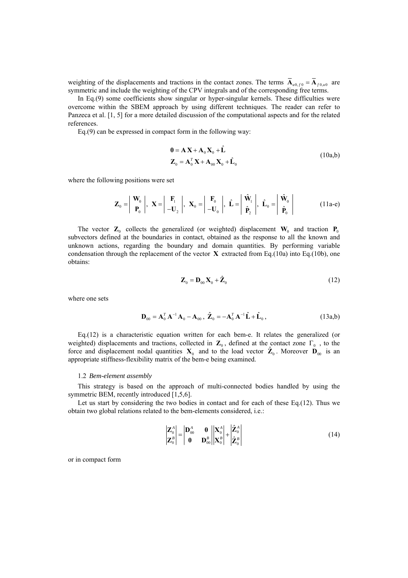weighting of the displacements and tractions in the contact zones. The terms  $\overline{A}_{u0,f0} = \overline{A}_{f0,u0}$  are symmetric and include the weighting of the CPV integrals and of the corresponding free terms.

In Eq.(9) some coefficients show singular or hyper-singular kernels. These difficulties were overcome within the SBEM approach by using different techniques. The reader can refer to Panzeca et al. [1, 5] for a more detailed discussion of the computational aspects and for the related references.

Eq.(9) can be expressed in compact form in the following way:

$$
\mathbf{0} = \mathbf{A} \mathbf{X} + \mathbf{A}_0 \mathbf{X}_0 + \hat{\mathbf{L}}
$$
  

$$
\mathbf{Z}_0 = \mathbf{A}_0^T \mathbf{X} + \mathbf{A}_{00} \mathbf{X}_0 + \hat{\mathbf{L}}_0
$$
 (10a,b)

where the following positions were set

$$
\mathbf{Z}_0 = \begin{vmatrix} \mathbf{W}_0 \\ \mathbf{P}_0 \end{vmatrix}, \mathbf{X} = \begin{vmatrix} \mathbf{F}_1 \\ -\mathbf{U}_2 \end{vmatrix}, \mathbf{X}_0 = \begin{vmatrix} \mathbf{F}_0 \\ -\mathbf{U}_0 \end{vmatrix}, \hat{\mathbf{L}} = \begin{vmatrix} \hat{\mathbf{W}}_1 \\ \hat{\mathbf{P}}_2 \end{vmatrix}, \hat{\mathbf{L}}_0 = \begin{vmatrix} \hat{\mathbf{W}}_0 \\ \hat{\mathbf{P}}_0 \end{vmatrix}
$$
(11a-e)

The vector  $\mathbf{Z}_0$  collects the generalized (or weighted) displacement  $\mathbf{W}_0$  and traction  $\mathbf{P}_0$ subvectors defined at the boundaries in contact, obtained as the response to all the known and unknown actions, regarding the boundary and domain quantities. By performing variable condensation through the replacement of the vector  $\bf{X}$  extracted from Eq.(10a) into Eq.(10b), one obtains:

$$
\mathbf{Z}_0 = \mathbf{D}_{00} \mathbf{X}_0 + \hat{\mathbf{Z}}_0 \tag{12}
$$

where one sets

$$
\mathbf{D}_{00} = \mathbf{A}_0^T \mathbf{A}^{-1} \mathbf{A}_0 - \mathbf{A}_{00} , \ \hat{\mathbf{Z}}_0 = -\mathbf{A}_0^T \mathbf{A}^{-1} \hat{\mathbf{L}} + \hat{\mathbf{L}}_0 ,
$$
 (13a,b)

 $Eq.(12)$  is a characteristic equation written for each bem-e. It relates the generalized (or weighted) displacements and tractions, collected in  $\mathbb{Z}_0$ , defined at the contact zone  $\Gamma_0$ , to the force and displacement nodal quantities  $X_0$  and to the load vector  $\hat{Z}_0$ . Moreover  $D_{00}$  is an appropriate stiffness-flexibility matrix of the bem-e being examined.

#### 1.2 *Bem-element assembly*

This strategy is based on the approach of multi-connected bodies handled by using the symmetric BEM, recently introduced [1,5,6].

Let us start by considering the two bodies in contact and for each of these  $Eq.(12)$ . Thus we obtain two global relations related to the bem-elements considered, i.e.:

$$
\begin{vmatrix} \mathbf{Z}_0^A \\ \mathbf{Z}_0^B \end{vmatrix} = \begin{vmatrix} \mathbf{D}_{00}^A & \mathbf{0} \\ \mathbf{0} & \mathbf{D}_{00}^B \end{vmatrix} \begin{vmatrix} \mathbf{X}_0^A \\ \mathbf{X}_0^B \end{vmatrix} + \begin{vmatrix} \hat{\mathbf{Z}}_0^A \\ \hat{\mathbf{Z}}_0^B \end{vmatrix}
$$
(14)

or in compact form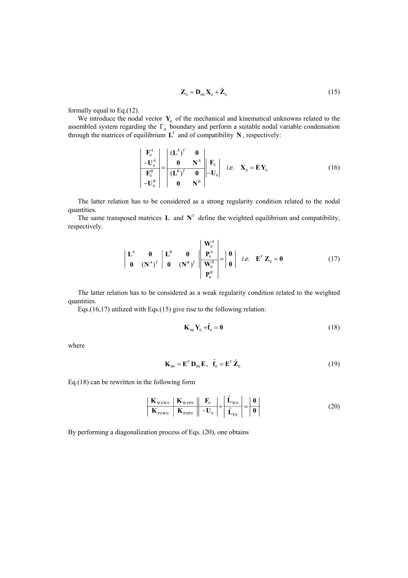$$
\mathbf{Z}_0 = \mathbf{D}_{00} \mathbf{X}_0 + \hat{\mathbf{Z}}_0 \tag{15}
$$

formally equal to Eq.(12).

We introduce the nodal vector  $\mathbf{Y}_0$  of the mechanical and kinematical unknowns related to the assembled system regarding the  $\Gamma_0$  boundary and perform a suitable nodal variable condensation through the matrices of equilibrium  $L^T$  and of compatibility  $N$ , respectively:

$$
\begin{vmatrix} \mathbf{F}_0^A \\ -\mathbf{U}_0^A \\ \mathbf{F}_0^B \\ -\mathbf{U}_0^B \end{vmatrix} = \begin{vmatrix} (\mathbf{L}^A)^T & \mathbf{0} \\ \mathbf{0} & \mathbf{N}^A \\ (\mathbf{L}^B)^T & \mathbf{0} \\ \mathbf{0} & \mathbf{N}^B \end{vmatrix} - \mathbf{U}_0 \begin{vmatrix} \mathbf{F}_0 \\ i.e. \mathbf{X}_0 = \mathbf{E} \mathbf{Y}_0 \end{vmatrix}
$$
 (16)

The latter relation has to be considered as a strong regularity condition related to the nodal quantities.

The same transposed matrices **L** and  $N<sup>T</sup>$  define the weighted equilibrium and compatibility, respectively.

$$
\begin{vmatrix} \mathbf{L}^A & \mathbf{0} & \mathbf{L}^B & \mathbf{0} \\ \mathbf{0} & (\mathbf{N}^A)^T & \mathbf{0} & (\mathbf{N}^B)^T \end{vmatrix} \begin{vmatrix} \mathbf{W}_0^A \\ \mathbf{P}_0^A \\ \mathbf{W}_0^B \\ \mathbf{P}_0^B \end{vmatrix} = \begin{vmatrix} \mathbf{0} \\ \mathbf{0} \end{vmatrix} \quad i.e. \quad \mathbf{E}^T \mathbf{Z}_0 = \mathbf{0} \tag{17}
$$

The latter relation has to be considered as a weak regularity condition related to the weighted quantities.

Eqs.(16,17) utilized with Eqs.(15) give rise to the following relation:

$$
\mathbf{K}_{00}\,\mathbf{Y}_0 + \hat{\mathbf{f}}_0 = \mathbf{0} \tag{18}
$$

where

$$
\mathbf{K}_{00} = \mathbf{E}^T \, \mathbf{D}_{00} \, \mathbf{E}, \quad \hat{\mathbf{f}}_0 = \mathbf{E}^T \, \hat{\mathbf{Z}}_0 \tag{19}
$$

Eq.(18) can be rewritten in the following form

$$
\frac{\mathbf{K}_{\text{wow}}}{\mathbf{K}_{\text{pow}}}\frac{\mathbf{K}_{\text{wopo}}}{\mathbf{K}_{\text{pop}}}\frac{\mathbf{F}_{0}}{\|\mathbf{F}_{0}\|} + \frac{\hat{\mathbf{L}}_{\text{w0}}}{\hat{\mathbf{L}}_{\text{po}}} = \frac{\mathbf{0}}{\|\mathbf{0}\|}
$$
(20)

By performing a diagonalization process of Eqs. (20), one obtains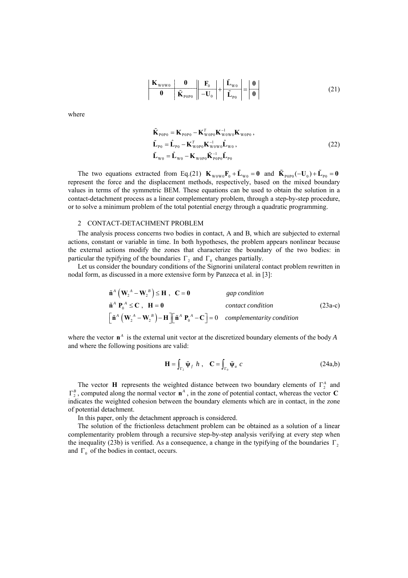$$
\left| \begin{array}{c|c} \mathbf{K}_{\text{wow0}} & \mathbf{0} \\ \hline \mathbf{0} & \tilde{\mathbf{K}}_{\text{pop0}} \end{array} \right| \left| \begin{array}{c|c} \mathbf{F}_0 & \mathbf{F}_{\text{w0}} \\ \hline -\mathbf{U}_0 & \mathbf{F}_{\text{pop}} \end{array} \right| = \left| \begin{array}{c|c} \mathbf{0} \\ \hline \mathbf{0} \end{array} \right| \tag{21}
$$

where

$$
\tilde{\mathbf{K}}_{\text{pop}} = \mathbf{K}_{\text{pop}} - \mathbf{K}_{\text{wopp}}^T \mathbf{K}_{\text{woup}}^{-1} \mathbf{K}_{\text{wopp}}^{-1}, \n\tilde{\mathbf{L}}_{\text{po}} = \hat{\mathbf{L}}_{\text{po}} - \mathbf{K}_{\text{wopp}}^T \mathbf{K}_{\text{wow}}^{-1} \hat{\mathbf{L}}_{\text{wo}} , \n\tilde{\mathbf{L}}_{\text{wo}} = \hat{\mathbf{L}}_{\text{wo}} - \mathbf{K}_{\text{wopp}} \tilde{\mathbf{K}}_{\text{pop}}^{-1} \tilde{\mathbf{L}}_{\text{po}}.
$$
\n(22)

The two equations extracted from Eq.(21)  $\mathbf{K}_{w_0w_0} \mathbf{F}_0 + \tilde{\mathbf{L}}_{w_0} = \mathbf{0}$  and  $\tilde{\mathbf{K}}_{pop_0}(-\mathbf{U}_0) + \tilde{\mathbf{L}}_{pop_0} = \mathbf{0}$ represent the force and the displacement methods, respectively, based on the mixed boundary values in terms of the symmetric BEM. These equations can be used to obtain the solution in a contact-detachment process as a linear complementary problem, through a step-by-step procedure, or to solve a minimum problem of the total potential energy through a quadratic programming.

### 2 CONTACT-DETACHMENT PROBLEM

The analysis process concerns two bodies in contact, A and B, which are subjected to external actions, constant or variable in time. In both hypotheses, the problem appears nonlinear because the external actions modify the zones that characterize the boundary of the two bodies: in particular the typifying of the boundaries  $\Gamma_2$  and  $\Gamma_0$  changes partially.

Let us consider the boundary conditions of the Signorini unilateral contact problem rewritten in nodal form, as discussed in a more extensive form by Panzeca et al. in [3]:

$$
\tilde{\mathbf{n}}^{A} \left( \mathbf{W}_{2}^{A} - \mathbf{W}_{2}^{B} \right) \leq \mathbf{H}, \quad \mathbf{C} = \mathbf{0} \qquad \text{gap condition}
$$
\n
$$
\tilde{\mathbf{n}}^{A} \mathbf{P}_{0}^{A} \leq \mathbf{C}, \quad \mathbf{H} = \mathbf{0} \qquad \text{contact condition}
$$
\n
$$
\left[ \tilde{\mathbf{n}}^{A} \left( \mathbf{W}_{2}^{A} - \mathbf{W}_{2}^{B} \right) - \mathbf{H} \right] \left[ \tilde{\mathbf{n}}^{A} \mathbf{P}_{0}^{A} - \mathbf{C} \right] = 0 \qquad \text{complementarity condition}
$$
\n(23a-c)

where the vector  $\mathbf{n}^A$  is the external unit vector at the discretized boundary elements of the body *A* and where the following positions are valid:

$$
\mathbf{H} = \int_{\Gamma_2} \tilde{\mathbf{\Psi}}_f \ h \ , \quad \mathbf{C} = \int_{\Gamma_0} \tilde{\mathbf{\Psi}}_u \ c \tag{24a,b}
$$

The vector **H** represents the weighted distance between two boundary elements of  $\Gamma_2^A$  and  $\Gamma_2^B$ , computed along the normal vector  $\mathbf{n}^A$ , in the zone of potential contact, whereas the vector **C** indicates the weighted cohesion between the boundary elements which are in contact, in the zone of potential detachment.

In this paper, only the detachment approach is considered.

The solution of the frictionless detachment problem can be obtained as a solution of a linear complementarity problem through a recursive step-by-step analysis verifying at every step when the inequality (23b) is verified. As a consequence, a change in the typifying of the boundaries  $\Gamma$ , and  $\Gamma_0$  of the bodies in contact, occurs.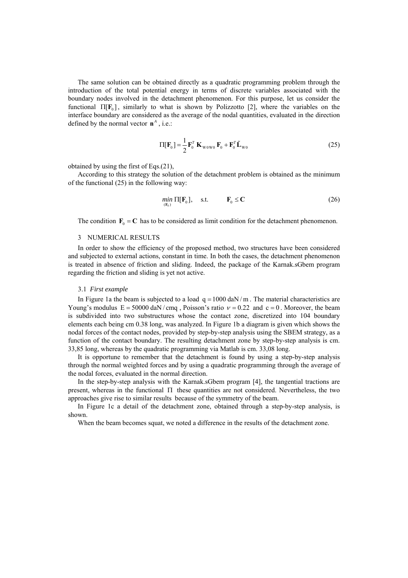The same solution can be obtained directly as a quadratic programming problem through the introduction of the total potential energy in terms of discrete variables associated with the boundary nodes involved in the detachment phenomenon. For this purpose, let us consider the functional  $\Pi[F_0]$ , similarly to what is shown by Polizzotto [2], where the variables on the interface boundary are considered as the average of the nodal quantities, evaluated in the direction defined by the normal vector  $\mathbf{n}^A$ , i.e.:

$$
\Pi[\mathbf{F}_0] = \frac{1}{2} \mathbf{F}_0^T \mathbf{K}_{\text{wowo}} \mathbf{F}_0 + \mathbf{F}_0^T \tilde{\mathbf{L}}_{\text{wo}} \tag{25}
$$

obtained by using the first of Eqs.(21),

According to this strategy the solution of the detachment problem is obtained as the minimum of the functional (25) in the following way:

$$
\min_{(\mathbf{F}_0)} \Pi[\mathbf{F}_0], \quad \text{s.t.} \qquad \mathbf{F}_0 \le \mathbf{C} \tag{26}
$$

The condition  $\mathbf{F}_0 = \mathbf{C}$  has to be considered as limit condition for the detachment phenomenon.

## 3 NUMERICAL RESULTS

In order to show the efficiency of the proposed method, two structures have been considered and subjected to external actions, constant in time. In both the cases, the detachment phenomenon is treated in absence of friction and sliding. Indeed, the package of the Karnak.sGbem program regarding the friction and sliding is yet not active.

#### 3.1 *First example*

In Figure 1a the beam is subjected to a load  $q = 1000$  daN/m. The material characteristics are Young's modulus  $E = 50000$  daN/cmq, Poisson's ratio  $v = 0.22$  and  $c = 0$ . Moreover, the beam is subdivided into two substructures whose the contact zone, discretized into 104 boundary elements each being cm 0.38 long, was analyzed. In Figure 1b a diagram is given which shows the nodal forces of the contact nodes, provided by step-by-step analysis using the SBEM strategy, as a function of the contact boundary. The resulting detachment zone by step-by-step analysis is cm. 33,85 long, whereas by the quadratic programming via Matlab is cm. 33,08 long.

It is opportune to remember that the detachment is found by using a step-by-step analysis through the normal weighted forces and by using a quadratic programming through the average of the nodal forces, evaluated in the normal direction.

In the step-by-step analysis with the Karnak.sGbem program [4], the tangential tractions are present, whereas in the functional  $\Pi$  these quantities are not considered. Nevertheless, the two approaches give rise to similar results because of the symmetry of the beam.

In Figure 1c a detail of the detachment zone, obtained through a step-by-step analysis, is shown.

When the beam becomes squat, we noted a difference in the results of the detachment zone.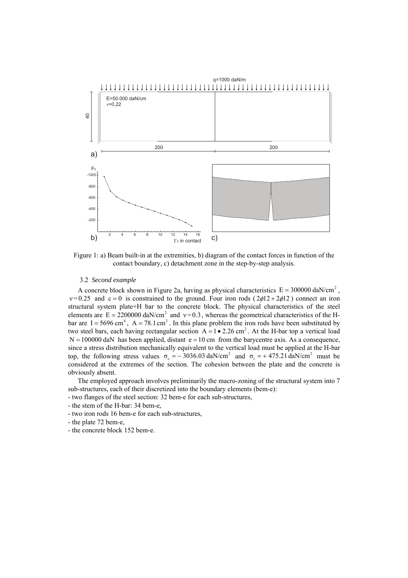

Figure 1: a) Beam built-in at the extremities, b) diagram of the contact forces in function of the contact boundary, c) detachment zone in the step-by-step analysis.

#### 3.2 *Second example*

A concrete block shown in Figure 2a, having as physical characteristics  $E = 300000 \text{ dan/cm}^2$ ,  $v = 0.25$  and  $c = 0$  is constrained to the ground. Four iron rods (  $2\phi 12 + 2\phi 12$  ) connect an iron structural system plate+H bar to the concrete block. The physical characteristics of the steel elements are  $E = 2200000 \text{ daN/cm}^2$  and  $v = 0.3$ , whereas the geometrical characteristics of the Hbar are  $I = 5696$  cm<sup>4</sup>,  $A = 78.1$  cm<sup>2</sup>. In this plane problem the iron rods have been substituted by two steel bars, each having rectangular section  $A = 1 \cdot 2.26$  cm<sup>2</sup>. At the H-bar top a vertical load  $N = 100000$  daN has been applied, distant  $e = 10$  cm from the barycentre axis. As a consequence, since a stress distribution mechanically equivalent to the vertical load must be applied at the H-bar top, the following stress values  $\sigma_c = -3036.03$  daN/cm<sup>2</sup> and  $\sigma_t = +475.21$  daN/cm<sup>2</sup> must be considered at the extremes of the section. The cohesion between the plate and the concrete is obviously absent.

The employed approach involves preliminarily the macro-zoning of the structural system into 7 sub-structures, each of their discretized into the boundary elements (bem-e):

- two flanges of the steel section: 32 bem-e for each sub-structures,
- the stem of the H-bar: 34 bem-e,
- two iron rods 16 bem-e for each sub-structures,
- the plate 72 bem-e,
- the concrete block 152 bem-e.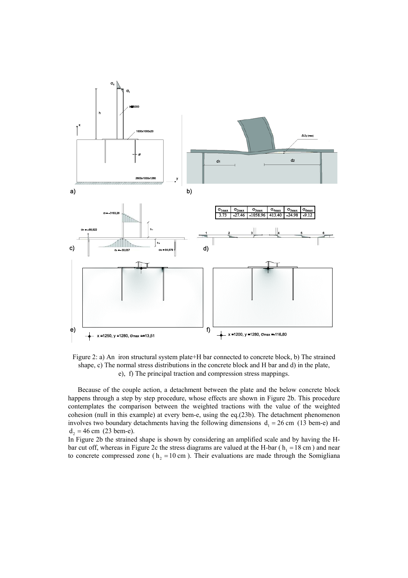

Figure 2: a) An iron structural system plate+H bar connected to concrete block, b) The strained shape, c) The normal stress distributions in the concrete block and H bar and d) in the plate, e), f) The principal traction and compression stress mappings.

Because of the couple action, a detachment between the plate and the below concrete block happens through a step by step procedure, whose effects are shown in Figure 2b. This procedure contemplates the comparison between the weighted tractions with the value of the weighted cohesion (null in this example) at every bem-e, using the eq.(23b). The detachment phenomenon involves two boundary detachments having the following dimensions  $d_1 = 26$  cm (13 bem-e) and  $d_2 = 46$  cm (23 bem-e).

In Figure 2b the strained shape is shown by considering an amplified scale and by having the Hbar cut off, whereas in Figure 2c the stress diagrams are valued at the H-bar ( $h_1 = 18$  cm) and near to concrete compressed zone ( $h<sub>2</sub> = 10$  cm). Their evaluations are made through the Somigliana